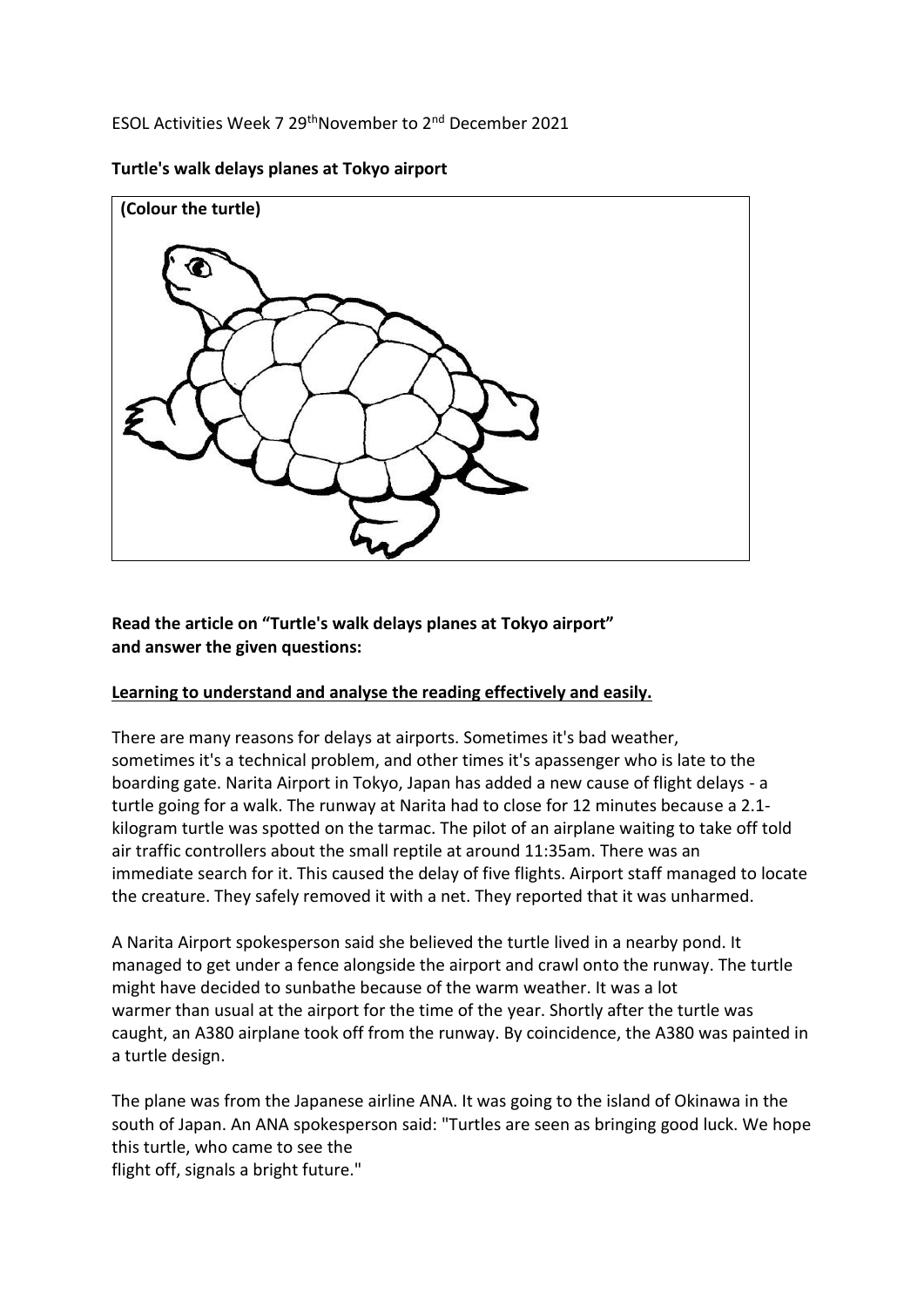ESOL Activities Week 7 29thNovember to 2nd December 2021

**(Colour the turtle)**

**Turtle's walk delays planes at Tokyo airport**

**Read the article on "Turtle's walk delays planes at Tokyo airport" and answer the given questions:**

#### **Learning to understand and analyse the reading effectively and easily.**

There are many reasons for delays at airports. Sometimes it's bad weather, sometimes it's a technical problem, and other times it's apassenger who is late to the boarding gate. Narita Airport in Tokyo, Japan has added a new cause of flight delays - a turtle going for a walk. The runway at Narita had to close for 12 minutes because a 2.1 kilogram turtle was spotted on the tarmac. The pilot of an airplane waiting to take off told air traffic controllers about the small reptile at around 11:35am. There was an immediate search for it. This caused the delay of five flights. Airport staff managed to locate the creature. They safely removed it with a net. They reported that it was unharmed.

A Narita Airport spokesperson said she believed the turtle lived in a nearby pond. It managed to get under a fence alongside the airport and crawl onto the runway. The turtle might have decided to sunbathe because of the warm weather. It was a lot warmer than usual at the airport for the time of the year. Shortly after the turtle was caught, an A380 airplane took off from the runway. By coincidence, the A380 was painted in a turtle design.

The plane was from the Japanese airline ANA. It was going to the island of Okinawa in the south of Japan. An ANA spokesperson said: "Turtles are seen as bringing good luck. We hope this turtle, who came to see the

flight off, signals a bright future."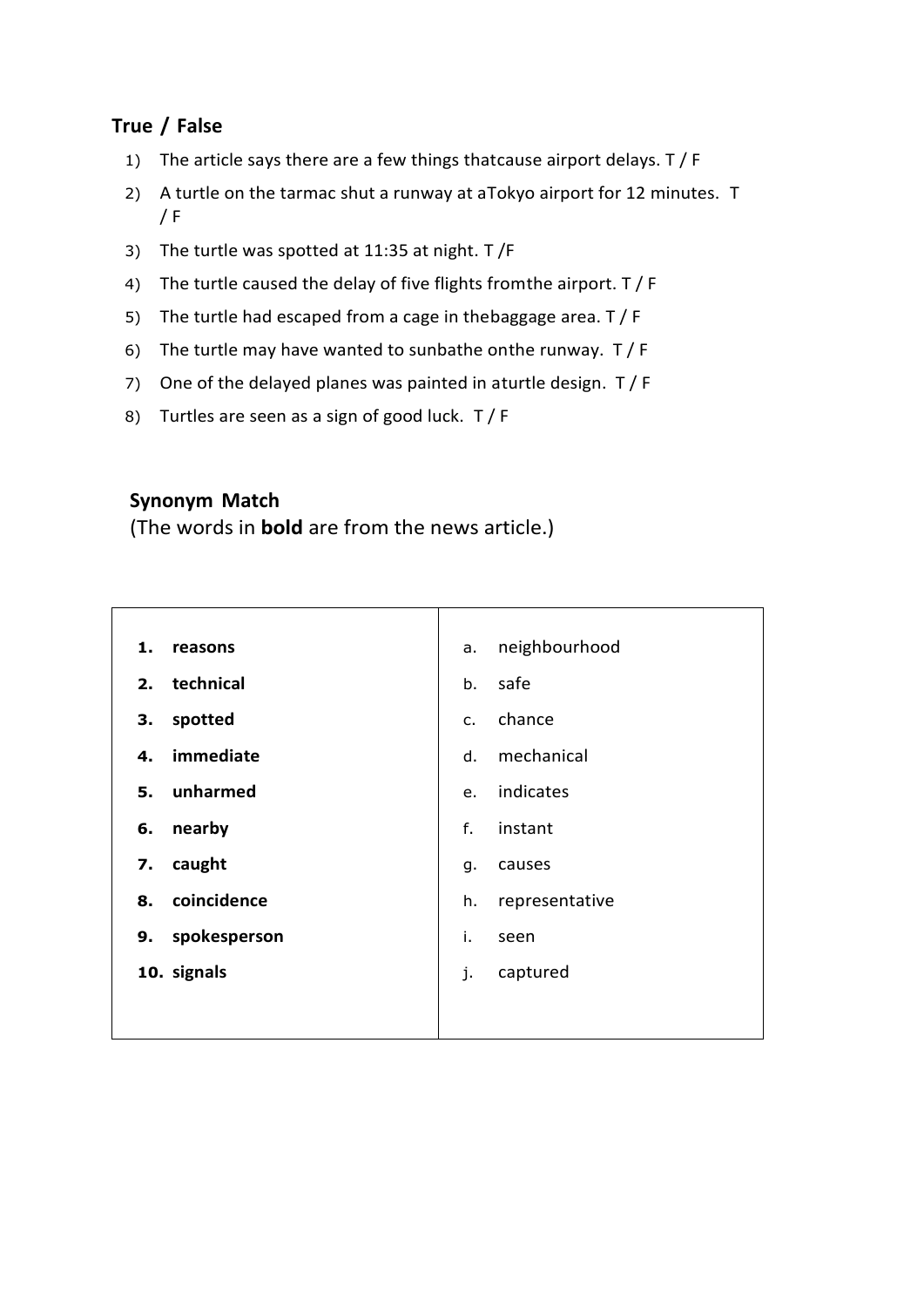### **True / False**

- 1) The article says there are a few things thatcause airport delays. T / F
- 2) A turtle on the tarmac shut a runway at aTokyo airport for 12 minutes. T  $/ F$
- 3) The turtle was spotted at 11:35 at night. T /F
- 4) The turtle caused the delay of five flights fromthe airport. T / F
- 5) The turtle had escaped from a cage in thebaggage area. T / F
- 6) The turtle may have wanted to sunbathe onthe runway. T / F
- 7) One of the delayed planes was painted in aturtle design. T / F
- 8) Turtles are seen as a sign of good luck. T / F

#### **Synonym Match**

(The words in **bold** are from the news article.)

| 1.           | neighbourhood  |
|--------------|----------------|
| reasons      | a.             |
| technical    | safe           |
| 2.           | b.             |
| spotted      | chance         |
| 3.           | $C_{1}$        |
| immediate    | mechanical     |
| 4.           | d.             |
| unharmed     | indicates      |
| 5.           | e.             |
| nearby       | f.             |
| 6.           | instant        |
| caught       | causes         |
| 7.           | g.             |
| coincidence  | representative |
| 8.           | h.             |
| spokesperson | i.             |
| 9.           | seen           |
| 10. signals  | j.<br>captured |
|              |                |
|              |                |